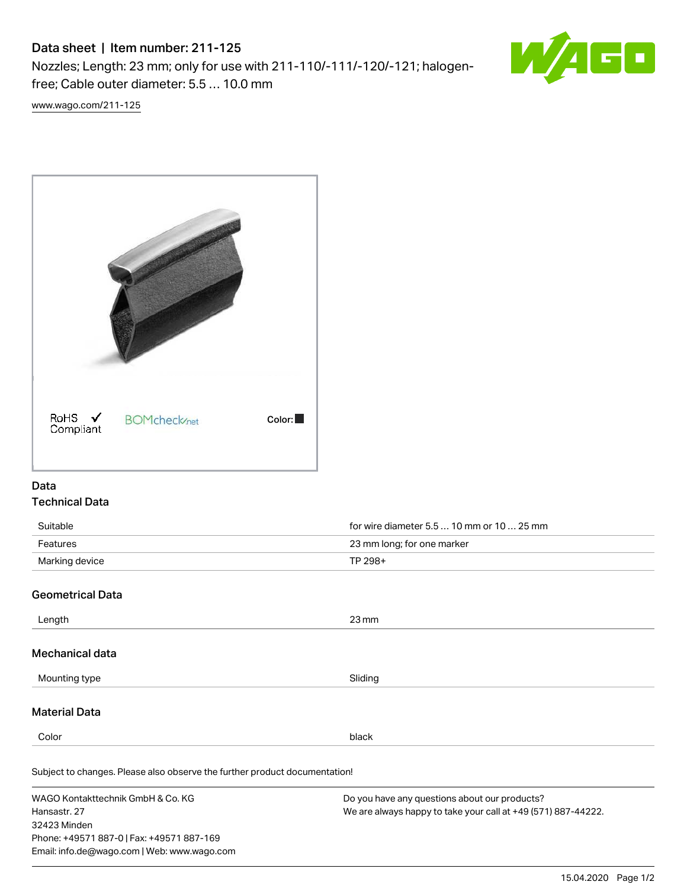# Data sheet | Item number: 211-125

Nozzles; Length: 23 mm; only for use with 211-110/-111/-120/-121; halogenfree; Cable outer diameter: 5.5 … 10.0 mm



[www.wago.com/211-125](http://www.wago.com/211-125)



### Data Technical Data

| Suitable       | for wire diameter 5.5  10 mm or 10  25 mm |  |
|----------------|-------------------------------------------|--|
| Features       | 23 mm long; for one marker                |  |
| Marking device | TP 298+                                   |  |
|                |                                           |  |

# Geometrical Data

32423 Minden

Phone: +49571 887-0 | Fax: +49571 887-169 Email: info.de@wago.com | Web: www.wago.com

| Length                                                                     | $23 \,\mathrm{mm}$                                                                                             |  |  |
|----------------------------------------------------------------------------|----------------------------------------------------------------------------------------------------------------|--|--|
| Mechanical data                                                            |                                                                                                                |  |  |
| Mounting type                                                              | Sliding                                                                                                        |  |  |
| <b>Material Data</b>                                                       |                                                                                                                |  |  |
| Color                                                                      | black                                                                                                          |  |  |
| Subject to changes. Please also observe the further product documentation! |                                                                                                                |  |  |
| WAGO Kontakttechnik GmbH & Co. KG<br>Hansastr, 27                          | Do you have any questions about our products?<br>We are always happy to take your call at +49 (571) 887-44222. |  |  |

15.04.2020 Page 1/2